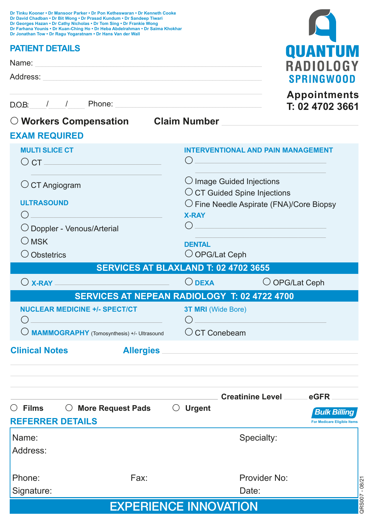| Dr David Chadban . Dr Bit Wong . Dr Prasad Kundum . Dr Sandeep Tiwari<br>Dr Georges Hazan . Dr Cathy Nicholas . Dr Tom Sing . Dr Frankie Wong<br>Dr Farhana Younis • Dr Kuan-Ching Ho • Dr Heba Abdelrahman • Dr Saima Khokhar<br>Dr Jonathan Tow . Dr Ragu Yogaratnam . Dr Hans Van der Wall |                                                                                                                     |
|-----------------------------------------------------------------------------------------------------------------------------------------------------------------------------------------------------------------------------------------------------------------------------------------------|---------------------------------------------------------------------------------------------------------------------|
| <b>PATIENT DETAILS</b>                                                                                                                                                                                                                                                                        | QUANTUM                                                                                                             |
| Name: Name and the second contract of the second contract of the second contract of the second contract of the second contract of the second contract of the second contract of the second contract of the second contract of                                                                 | RADIOLOG                                                                                                            |
|                                                                                                                                                                                                                                                                                               | <b>SPRINGWOOD</b>                                                                                                   |
|                                                                                                                                                                                                                                                                                               | <b>Appointments</b>                                                                                                 |
|                                                                                                                                                                                                                                                                                               | T: 02 4702 3661                                                                                                     |
| <b>EXAM REQUIRED</b>                                                                                                                                                                                                                                                                          | O Workers Compensation Claim Number Construction Claim Number                                                       |
|                                                                                                                                                                                                                                                                                               |                                                                                                                     |
| <b>MULTI SLICE CT</b><br>$\overline{\text{O}}$ CT $\overline{\text{O}}$ CT $\overline{\text{O}}$                                                                                                                                                                                              | <b>INTERVENTIONAL AND PAIN MANAGEMENT</b><br>( )<br><u> 1990 - Johann Barn, mars an t-Amerikaansk kommunister (</u> |
| $\circ$ CT Angiogram                                                                                                                                                                                                                                                                          | $\bigcirc$ Image Guided Injections                                                                                  |
| <b>ULTRASOUND</b>                                                                                                                                                                                                                                                                             | $\circ$ CT Guided Spine Injections<br>$\bigcirc$ Fine Needle Aspirate (FNA)/Core Biopsy                             |
|                                                                                                                                                                                                                                                                                               | <b>X-RAY</b>                                                                                                        |
| O Doppler - Venous/Arterial                                                                                                                                                                                                                                                                   |                                                                                                                     |
| $\bigcirc$ MSK                                                                                                                                                                                                                                                                                | <b>DENTAL</b>                                                                                                       |
| $\bigcirc$ Obstetrics                                                                                                                                                                                                                                                                         | O OPG/Lat Ceph                                                                                                      |
|                                                                                                                                                                                                                                                                                               | SERVICES AT BLAXLAND T: 02 4702 3655                                                                                |
| $\bigcirc$ X-RAY $\_\_\_\_\_\_\_\_\$                                                                                                                                                                                                                                                          | $\bigcirc$ dexa<br>O OPG/Lat Ceph                                                                                   |
|                                                                                                                                                                                                                                                                                               | SERVICES AT NEPEAN RADIOLOGY T: 02 4722 4700                                                                        |
| <b>NUCLEAR MEDICINE +/- SPECT/CT</b>                                                                                                                                                                                                                                                          | <b>3T MRI</b> (Wide Bore)<br>$\left( \right)$                                                                       |
|                                                                                                                                                                                                                                                                                               |                                                                                                                     |
| <b>Clinical Notes</b>                                                                                                                                                                                                                                                                         | Allergies                                                                                                           |
|                                                                                                                                                                                                                                                                                               |                                                                                                                     |
|                                                                                                                                                                                                                                                                                               | <b>Creatinine Level Conservation Conservation Conservation Creatinine Level Conservation Conservation</b>           |
| $\circlearrowright$ Films $\circlearrowright$ More Request Pads $\circlearrowright$ Urgent<br><b>REFERRER DETAILS</b>                                                                                                                                                                         | <b>Bulk Billing</b><br><b>For Medicare Eligible Items</b>                                                           |
| Name:                                                                                                                                                                                                                                                                                         | Specialty:                                                                                                          |
| Address:                                                                                                                                                                                                                                                                                      |                                                                                                                     |
|                                                                                                                                                                                                                                                                                               |                                                                                                                     |
| Phone:<br>Fax:<br>Signature:                                                                                                                                                                                                                                                                  | Provider No:<br>Date:                                                                                               |
|                                                                                                                                                                                                                                                                                               | QRS007 - 08/21                                                                                                      |
|                                                                                                                                                                                                                                                                                               | <b>EXPERIENCE INNOVATION</b>                                                                                        |

<u>and the set of the set of the set of the set of the set of the set of the set of the set of the set of the set of the set of the set of the set of the set of the set of the set of the set of the set of the set of the set </u>

**Dr Tinku Kooner • Dr Mansoor Parker • Dr Pon Ketheswaran • Dr Kenneth Cooke**

|  | <b>EXPERIENCE INNOVATION</b> |  |  |  |  |  |  |
|--|------------------------------|--|--|--|--|--|--|
|--|------------------------------|--|--|--|--|--|--|